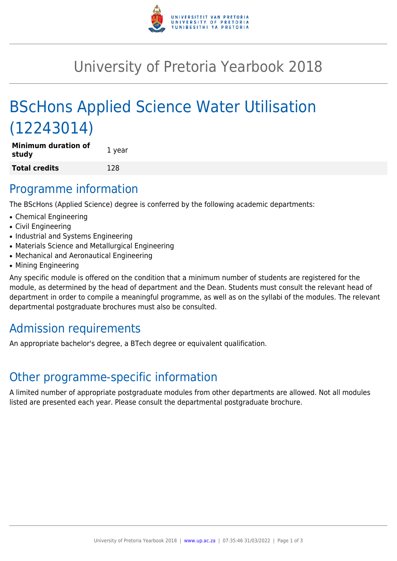

# University of Pretoria Yearbook 2018

# BScHons Applied Science Water Utilisation (12243014)

| Minimum duration of<br>study | 1 year |
|------------------------------|--------|
| Total credits                | 128    |

### Programme information

The BScHons (Applied Science) degree is conferred by the following academic departments:

- Chemical Engineering
- Civil Engineering
- Industrial and Systems Engineering
- Materials Science and Metallurgical Engineering
- Mechanical and Aeronautical Engineering
- Mining Engineering

Any specific module is offered on the condition that a minimum number of students are registered for the module, as determined by the head of department and the Dean. Students must consult the relevant head of department in order to compile a meaningful programme, as well as on the syllabi of the modules. The relevant departmental postgraduate brochures must also be consulted.

# Admission requirements

An appropriate bachelor's degree, a BTech degree or equivalent qualification.

## Other programme-specific information

A limited number of appropriate postgraduate modules from other departments are allowed. Not all modules listed are presented each year. Please consult the departmental postgraduate brochure.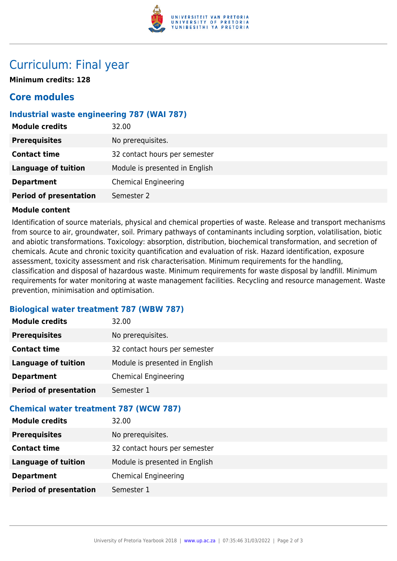

## Curriculum: Final year

**Minimum credits: 128**

### **Core modules**

### **Industrial waste engineering 787 (WAI 787)**

| <b>Module credits</b>         | 32.00                          |
|-------------------------------|--------------------------------|
| <b>Prerequisites</b>          | No prerequisites.              |
| <b>Contact time</b>           | 32 contact hours per semester  |
| <b>Language of tuition</b>    | Module is presented in English |
| <b>Department</b>             | <b>Chemical Engineering</b>    |
| <b>Period of presentation</b> | Semester 2                     |

#### **Module content**

Identification of source materials, physical and chemical properties of waste. Release and transport mechanisms from source to air, groundwater, soil. Primary pathways of contaminants including sorption, volatilisation, biotic and abiotic transformations. Toxicology: absorption, distribution, biochemical transformation, and secretion of chemicals. Acute and chronic toxicity quantification and evaluation of risk. Hazard identification, exposure assessment, toxicity assessment and risk characterisation. Minimum requirements for the handling, classification and disposal of hazardous waste. Minimum requirements for waste disposal by landfill. Minimum requirements for water monitoring at waste management facilities. Recycling and resource management. Waste prevention, minimisation and optimisation.

### **Biological water treatment 787 (WBW 787)**

| <b>Module credits</b>         | 32.00                          |
|-------------------------------|--------------------------------|
| <b>Prerequisites</b>          | No prerequisites.              |
| <b>Contact time</b>           | 32 contact hours per semester  |
| Language of tuition           | Module is presented in English |
| <b>Department</b>             | <b>Chemical Engineering</b>    |
| <b>Period of presentation</b> | Semester 1                     |

### **Chemical water treatment 787 (WCW 787)**

| <b>Module credits</b>         | 32.00                          |
|-------------------------------|--------------------------------|
| <b>Prerequisites</b>          | No prerequisites.              |
| <b>Contact time</b>           | 32 contact hours per semester  |
| <b>Language of tuition</b>    | Module is presented in English |
| <b>Department</b>             | <b>Chemical Engineering</b>    |
| <b>Period of presentation</b> | Semester 1                     |